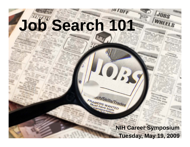# **Job Search 101**

 $\frac{1}{2}$ 

SCHASKILLS/Trades

FRAMERS WANTED *transportation* 

> **NIH Career Symposium Tuesday, Ma y 19, 2009**

JOBS

WHEELS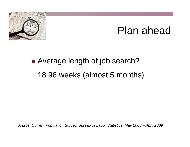

## Plan ahead

## ■ Average length of job search? 18.96 weeks (almost 5 months)

*Source: Current Population Survey, Bureau of Labor Statistics, May 2008 – April 2009*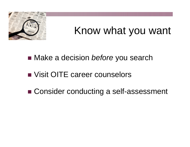

## Know what you want

■ Make a decision *before* you search

### ■ Visit OITE career counselors

■ Consider conducting a self-assessment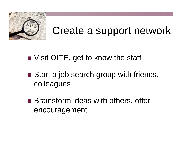

## Create a support network

### ■ Visit OITE, get to know the staff

- Start a job search group with friends, colleagues
- Brainstorm ideas with others, offer encouragement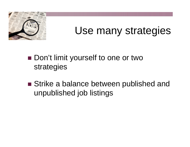

## Use many strategies

### ■ Don't limit yourself to one or two strategies

■ Strike a balance between published and unpublished job listings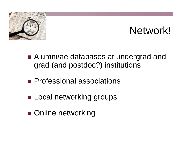

## Network!

- Alumni/ae databases at undergrad and grad (and postdoc?) institutions
- **Professional associations**
- **ELocal networking groups**
- **Online networking**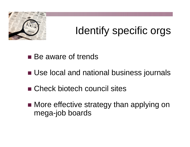

## Identify specific orgs

#### ■ Be aware of trends

- Use local and national business journals
- Check biotech council sites
- More effective strategy than applying on mega-job boards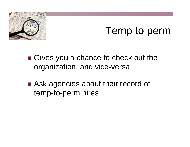

## Temp to perm

- Gives you a chance to check out the organization, and vice-versa
- Ask agencies about their record of temp-to-perm hires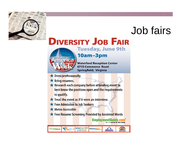

## Job fairs

### **DIVERSITY JOB FAIR**



**Tuesday, June 9th** 

**EmploymentGuide.com** 

**ODOO Let Us Be Your Guide** 

#### 10am-3pm

**Waterford Reception Center 6715 Commerce Road** Springfield, Virginia

- Dress professionally.
- ★ Bring resumes.
- ★ Research each company before attending event to best know the positions open and the requirements to qualify.
- $\star$  Treat the event as if it were an interview.
- Free Admission to Job Seekers
- Metro Accessible
- ★ Free Resume Screening Provided by Anointed Words

**Wiserworker**<br>In Collaboration with **Montgomery Works**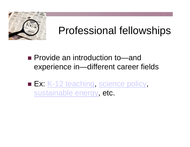

## Professional fellowships

#### ■ Provide an introduction to—and experience in—different career fields

■ Ex: <u>K-12 teaching, [science policy](http://fellowships.aaas.org/)</u>, [sustainable energy](http://www.maproyalty.com/fellowships.html), etc.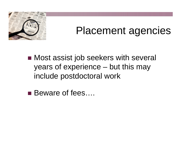

## Placement agencies

■ Most assist job seekers with several years of experience – but this may include postdoctoral work

■ Beware of fees....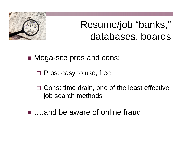

## Resume/job "banks," databases, boards

■ Mega-site pros and cons:

□ Pros: easy to use, free

 $\square$  Cons: time drain, one of the least effective job search methods

■ ….and be aware of online fraud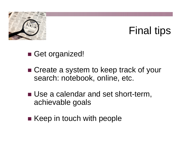

## Final tips

■ Get organized!

■ Create a system to keep track of your search: notebook, online, etc.

- Use a calendar and set short-term, achievable goals
- Keep in touch with people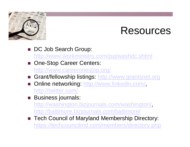

## Resources

- DC Job Search Group: <http://www.workministry.com/jsg/washdc.shtml>
- One-Stop Career Centers: <http://www.careeronestop.org/>
- Grant/fellowship listings: [http://www.grantsnet.org](http://www.grantsnet.org/)
- Online networking: <http://www.linkedin.com/>, <http://twitter.com/>
- **Business journals:**

<http://washington.bizjournals.com/washington/>, <http://baltimore.bizjournals.com/baltimore/>

■ Tech Council of Maryland Membership Directory: <https://techcouncilmd.com/members/directory.php>